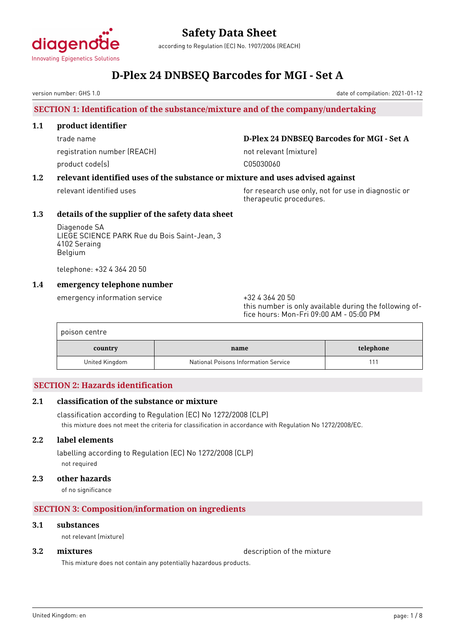

according to Regulation (EC) No. 1907/2006 (REACH)

## **D-Plex 24 DNBSEQ Barcodes for MGI - Set A**

version number: GHS 1.0

### **SECTION 1: Identification of the substance/mixture and of the company/undertaking**

#### **1.1 product identifier**

registration number (REACH) not relevant (mixture) product code(s) and control control control control control control control control control control control co

trade name **D-Plex 24 DNBSEQ Barcodes for MGI - Set A**

#### **1.2 relevant identified uses of the substance or mixture and uses advised against**

relevant identified uses for research use only, not for use in diagnostic or therapeutic procedures.

#### **1.3 details of the supplier of the safety data sheet**

Diagenode SA LIEGE SCIENCE PARK Rue du Bois Saint-Jean, 3 4102 Seraing Belgium

telephone: +32 4 364 20 50

#### **1.4 emergency telephone number**

emergency information service  $+3243642050$ 

this number is only available during the following office hours: Mon-Fri 09:00 AM - 05:00 PM

| poison centre  |                                      |           |
|----------------|--------------------------------------|-----------|
| country        | name                                 | telephone |
| United Kingdom | National Poisons Information Service |           |

#### **SECTION 2: Hazards identification**

#### **2.1 classification of the substance or mixture**

classification according to Regulation (EC) No 1272/2008 (CLP) this mixture does not meet the criteria for classification in accordance with Regulation No 1272/2008/EC.

#### **2.2 label elements**

labelling according to Regulation (EC) No 1272/2008 (CLP) not required

#### **2.3 other hazards**

of no significance

#### **SECTION 3: Composition/information on ingredients**

#### **3.1 substances**

not relevant (mixture)

**3.2 <b>mixtures** description of the mixture

This mixture does not contain any potentially hazardous products.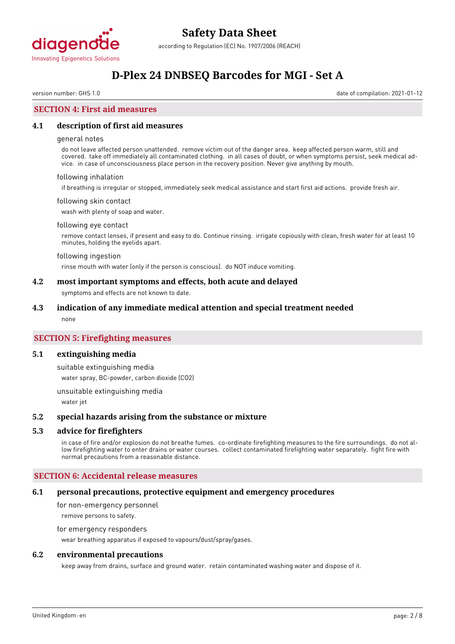

## **D-Plex 24 DNBSEQ Barcodes for MGI - Set A**

version number: GHS 1.0 date of compilation: 2021-01-12

#### **SECTION 4: First aid measures**

#### **4.1 description of first aid measures**

#### general notes

do not leave affected person unattended. remove victim out of the danger area. keep affected person warm, still and covered. take off immediately all contaminated clothing. in all cases of doubt, or when symptoms persist, seek medical advice. in case of unconsciousness place person in the recovery position. Never give anything by mouth.

#### following inhalation

if breathing is irregular or stopped, immediately seek medical assistance and start first aid actions. provide fresh air.

#### following skin contact

wash with plenty of soap and water.

#### following eye contact

remove contact lenses, if present and easy to do. Continue rinsing. irrigate copiously with clean, fresh water for at least 10 minutes, holding the eyelids apart.

#### following ingestion

rinse mouth with water (only if the person is conscious). do NOT induce vomiting.

#### **4.2 most important symptoms and effects, both acute and delayed**

symptoms and effects are not known to date.

#### **4.3 indication of any immediate medical attention and special treatment needed**

none

#### **SECTION 5: Firefighting measures**

#### **5.1 extinguishing media**

suitable extinguishing media

water spray, BC-powder, carbon dioxide (CO2)

unsuitable extinguishing media

water jet

#### **5.2 special hazards arising from the substance or mixture**

#### **5.3 advice for firefighters**

in case of fire and/or explosion do not breathe fumes. co-ordinate firefighting measures to the fire surroundings. do not allow firefighting water to enter drains or water courses. collect contaminated firefighting water separately. fight fire with normal precautions from a reasonable distance.

#### **SECTION 6: Accidental release measures**

#### **6.1 personal precautions, protective equipment and emergency procedures**

for non-emergency personnel

remove persons to safety.

#### for emergency responders

wear breathing apparatus if exposed to vapours/dust/spray/gases.

#### **6.2 environmental precautions**

keep away from drains, surface and ground water. retain contaminated washing water and dispose of it.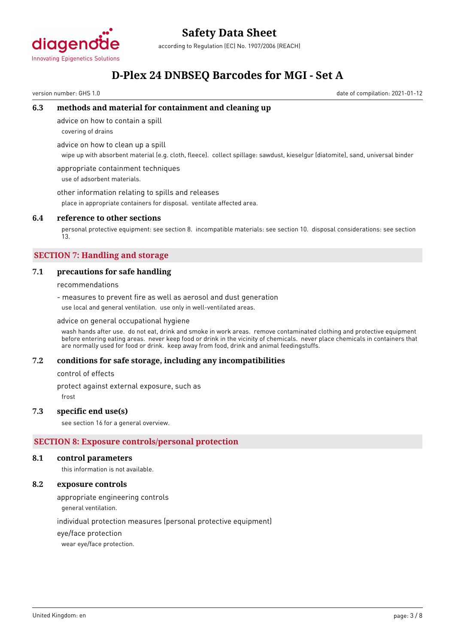

according to Regulation (EC) No. 1907/2006 (REACH)

## **D-Plex 24 DNBSEQ Barcodes for MGI - Set A**

version number: GHS 1.0 date of compilation: 2021-01-12

#### **6.3 methods and material for containment and cleaning up**

advice on how to contain a spill

covering of drains

advice on how to clean up a spill

wipe up with absorbent material (e.g. cloth, fleece). collect spillage: sawdust, kieselgur (diatomite), sand, universal binder

appropriate containment techniques use of adsorbent materials.

other information relating to spills and releases

place in appropriate containers for disposal. ventilate affected area.

#### **6.4 reference to other sections**

personal protective equipment: see section 8. incompatible materials: see section 10. disposal considerations: see section 13.

### **SECTION 7: Handling and storage**

#### **7.1 precautions for safe handling**

recommendations

- measures to prevent fire as well as aerosol and dust generation use local and general ventilation. use only in well-ventilated areas.

#### advice on general occupational hygiene

wash hands after use. do not eat, drink and smoke in work areas. remove contaminated clothing and protective equipment before entering eating areas. never keep food or drink in the vicinity of chemicals. never place chemicals in containers that are normally used for food or drink. keep away from food, drink and animal feedingstuffs.

#### **7.2 conditions for safe storage, including any incompatibilities**

control of effects

protect against external exposure, such as

frost

#### **7.3 specific end use(s)**

see section 16 for a general overview.

#### **SECTION 8: Exposure controls/personal protection**

#### **8.1 control parameters**

this information is not available.

#### **8.2 exposure controls**

appropriate engineering controls

general ventilation.

individual protection measures (personal protective equipment)

eye/face protection

wear eye/face protection.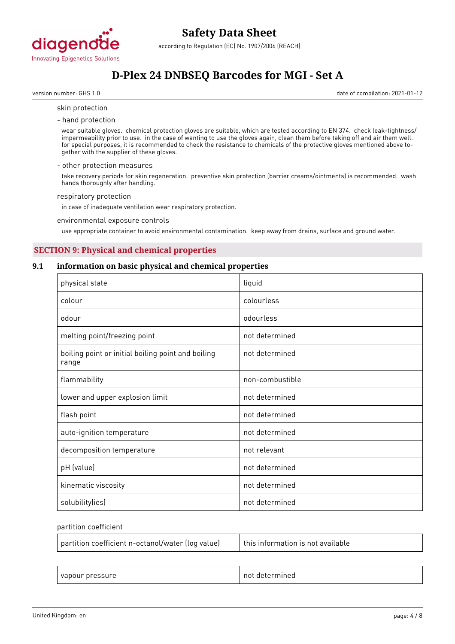

## **D-Plex 24 DNBSEQ Barcodes for MGI - Set A**

version number: GHS 1.0 date of compilation: 2021-01-12

#### skin protection

- hand protection

wear suitable gloves. chemical protection gloves are suitable, which are tested according to EN 374. check leak-tightness/ impermeability prior to use. in the case of wanting to use the gloves again, clean them before taking off and air them well. for special purposes, it is recommended to check the resistance to chemicals of the protective gloves mentioned above together with the supplier of these gloves.

#### - other protection measures

take recovery periods for skin regeneration. preventive skin protection (barrier creams/ointments) is recommended. wash hands thoroughly after handling.

#### respiratory protection

in case of inadequate ventilation wear respiratory protection.

#### environmental exposure controls

use appropriate container to avoid environmental contamination. keep away from drains, surface and ground water.

#### **SECTION 9: Physical and chemical properties**

#### **9.1 information on basic physical and chemical properties**

| physical state                                              | liquid          |
|-------------------------------------------------------------|-----------------|
| colour                                                      | colourless      |
| odour                                                       | odourless       |
| melting point/freezing point                                | not determined  |
| boiling point or initial boiling point and boiling<br>range | not determined  |
| flammability                                                | non-combustible |
| lower and upper explosion limit                             | not determined  |
| flash point                                                 | not determined  |
| auto-ignition temperature                                   | not determined  |
| decomposition temperature                                   | not relevant    |
| pH (value)                                                  | not determined  |
| kinematic viscosity                                         | not determined  |
| solubility(ies)                                             | not determined  |

#### partition coefficient

| partition coefficient n-octanol/water (log value) | $\pm$ this information is not available |
|---------------------------------------------------|-----------------------------------------|
|                                                   |                                         |

| $\sim$<br>$\sim$ $\sim$ $\sim$<br>. .<br>oui<br>___ | nn<br>пес<br>᠂ |
|-----------------------------------------------------|----------------|
|-----------------------------------------------------|----------------|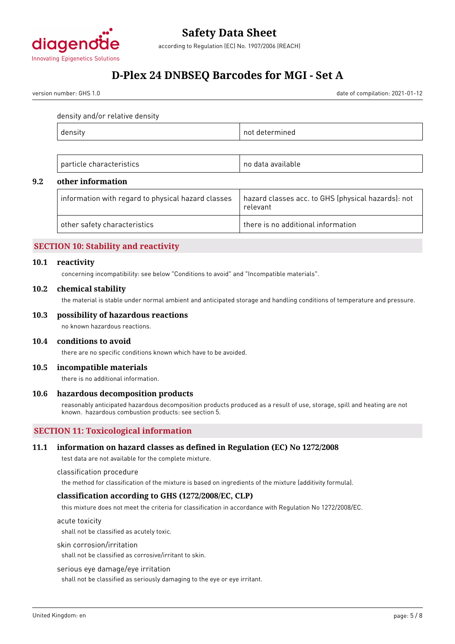

## **D-Plex 24 DNBSEQ Barcodes for MGI - Set A**

version number: GHS 1.0 date of compilation: 2021-01-12

density and/or relative density

|--|

| $\sim$ $\sim$<br>$\sim$<br>$\mathbf{u}$<br>.<br>. .<br><br>. | $\sim$ |
|--------------------------------------------------------------|--------|
|--------------------------------------------------------------|--------|

#### **9.2 other information**

| $\perp$ information with regard to physical hazard classes | hazard classes acc. to GHS (physical hazards): not<br>relevant |
|------------------------------------------------------------|----------------------------------------------------------------|
| other safety characteristics                               | there is no additional information                             |

#### **SECTION 10: Stability and reactivity**

#### **10.1 reactivity**

concerning incompatibility: see below "Conditions to avoid" and "Incompatible materials".

#### **10.2 chemical stability**

the material is stable under normal ambient and anticipated storage and handling conditions of temperature and pressure.

#### **10.3 possibility of hazardous reactions**

no known hazardous reactions.

#### **10.4 conditions to avoid**

there are no specific conditions known which have to be avoided.

#### **10.5 incompatible materials**

there is no additional information.

#### **10.6 hazardous decomposition products**

reasonably anticipated hazardous decomposition products produced as a result of use, storage, spill and heating are not known. hazardous combustion products: see section 5.

#### **SECTION 11: Toxicological information**

#### **11.1 information on hazard classes as defined in Regulation (EC) No 1272/2008**

test data are not available for the complete mixture.

classification procedure

the method for classification of the mixture is based on ingredients of the mixture (additivity formula).

#### **classification according to GHS (1272/2008/EC, CLP)**

this mixture does not meet the criteria for classification in accordance with Regulation No 1272/2008/EC.

acute toxicity

shall not be classified as acutely toxic.

#### skin corrosion/irritation

shall not be classified as corrosive/irritant to skin.

#### serious eye damage/eye irritation

shall not be classified as seriously damaging to the eye or eye irritant.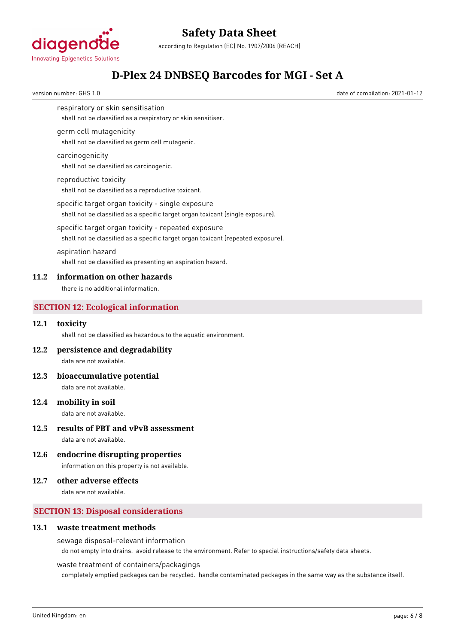

according to Regulation (EC) No. 1907/2006 (REACH)

## **D-Plex 24 DNBSEQ Barcodes for MGI - Set A**

version number: GHS 1.0 date of compilation: 2021-01-12

respiratory or skin sensitisation

shall not be classified as a respiratory or skin sensitiser.

#### germ cell mutagenicity

shall not be classified as germ cell mutagenic.

#### carcinogenicity

shall not be classified as carcinogenic.

#### reproductive toxicity

shall not be classified as a reproductive toxicant.

#### specific target organ toxicity - single exposure

shall not be classified as a specific target organ toxicant (single exposure).

#### specific target organ toxicity - repeated exposure

shall not be classified as a specific target organ toxicant (repeated exposure).

#### aspiration hazard

shall not be classified as presenting an aspiration hazard.

#### **11.2 information on other hazards**

there is no additional information.

#### **SECTION 12: Ecological information**

#### **12.1 toxicity**

shall not be classified as hazardous to the aquatic environment.

#### **12.2 persistence and degradability**

data are not available.

#### **12.3 bioaccumulative potential**

data are not available.

#### **12.4 mobility in soil**

data are not available.

#### **12.5 results of PBT and vPvB assessment**

data are not available.

#### **12.6 endocrine disrupting properties**

information on this property is not available.

#### **12.7 other adverse effects**

data are not available.

#### **SECTION 13: Disposal considerations**

#### **13.1 waste treatment methods**

#### sewage disposal-relevant information

do not empty into drains. avoid release to the environment. Refer to special instructions/safety data sheets.

#### waste treatment of containers/packagings

completely emptied packages can be recycled. handle contaminated packages in the same way as the substance itself.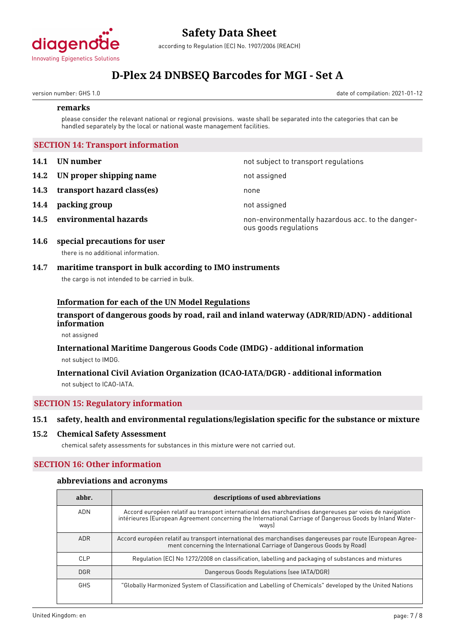

according to Regulation (EC) No. 1907/2006 (REACH)

## **D-Plex 24 DNBSEQ Barcodes for MGI - Set A**

version number: GHS 1.0 date of compilation: 2021-01-12

#### **remarks**

please consider the relevant national or regional provisions. waste shall be separated into the categories that can be handled separately by the local or national waste management facilities.

#### **SECTION 14: Transport information**

- **14.1 UN number 14.1 UN** number
- **14.2 IN proper shipping name** not assigned
- **14.3 transport hazard class(es)** none
- **14.4 packing group** not assigned
- 

**14.5 environmental hazards non-environmentally hazardous acc. to the danger**ous goods regulations

#### **14.6 special precautions for user** there is no additional information.

### **14.7 maritime transport in bulk according to IMO instruments**

the cargo is not intended to be carried in bulk.

#### **Information for each of the UN Model Regulations**

#### **transport of dangerous goods by road, rail and inland waterway (ADR/RID/ADN) - additional information**

not assigned

#### **International Maritime Dangerous Goods Code (IMDG) - additional information** not subject to IMDG.

#### **International Civil Aviation Organization (ICAO-IATA/DGR) - additional information** not subject to ICAO-IATA.

### **SECTION 15: Regulatory information**

#### **15.1 safety, health and environmental regulations/legislation specific for the substance or mixture**

#### **15.2 Chemical Safety Assessment**

chemical safety assessments for substances in this mixture were not carried out.

#### **SECTION 16: Other information**

#### **abbreviations and acronyms**

| abbr.      | descriptions of used abbreviations                                                                                                                                                                                            |
|------------|-------------------------------------------------------------------------------------------------------------------------------------------------------------------------------------------------------------------------------|
| <b>ADN</b> | Accord européen relatif au transport international des marchandises dangereuses par voies de navigation<br>intérieures (European Agreement concerning the International Carriage of Dangerous Goods by Inland Water-<br>ways) |
| <b>ADR</b> | Accord européen relatif au transport international des marchandises dangereuses par route (European Agree-<br>ment concerning the International Carriage of Dangerous Goods by Road)                                          |
| CLP        | Regulation (EC) No 1272/2008 on classification, labelling and packaging of substances and mixtures                                                                                                                            |
| <b>DGR</b> | Dangerous Goods Regulations (see IATA/DGR)                                                                                                                                                                                    |
| <b>GHS</b> | "Globally Harmonized System of Classification and Labelling of Chemicals" developed by the United Nations                                                                                                                     |